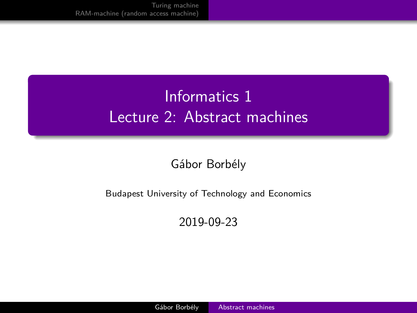# <span id="page-0-0"></span>Informatics 1 Lecture 2: Abstract machines

#### Gábor Borbély

#### Budapest University of Technology and Economics

2019-09-23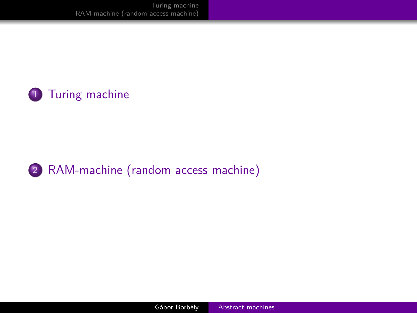[Turing machine](#page-2-0) [RAM-machine \(random access machine\)](#page-5-0)





2 [RAM-machine \(random access machine\)](#page-5-0)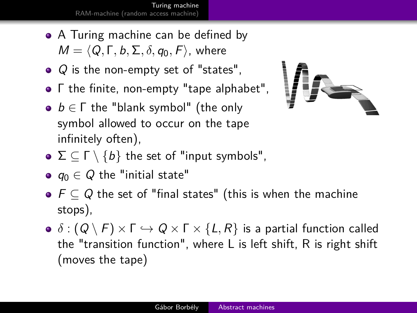[Turing machine](#page-2-0) [RAM-machine \(random access machine\)](#page-5-0)

- <span id="page-2-0"></span>• A Turing machine can be defined by  $M = \langle Q, \Gamma, b, \Sigma, \delta, q_0, F \rangle$ , where
- $\bullet$  Q is the non-empty set of "states".
- Γ the finite, non-empty "tape alphabet",
- $b \in \Gamma$  the "blank symbol" (the only symbol allowed to occur on the tape infinitely often),



- $\bullet \Sigma \subseteq \Gamma \setminus \{b\}$  the set of "input symbols",
- $\bullet$   $q_0 \in Q$  the "initial state"
- $F \subseteq Q$  the set of "final states" (this is when the machine stops),
- $\bullet \delta : (Q \setminus F) \times F \hookrightarrow Q \times F \times \{L, R\}$  is a partial function called the "transition function", where L is left shift, R is right shift (moves the tape)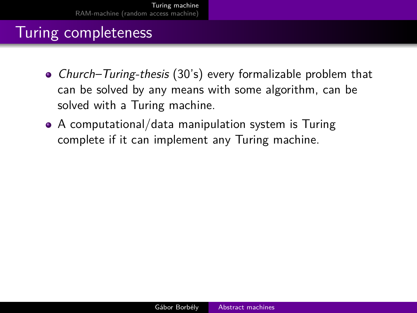### Turing completeness

- Church–Turing-thesis (30's) every formalizable problem that can be solved by any means with some algorithm, can be solved with a Turing machine.
- A computational/data manipulation system is Turing complete if it can implement any Turing machine.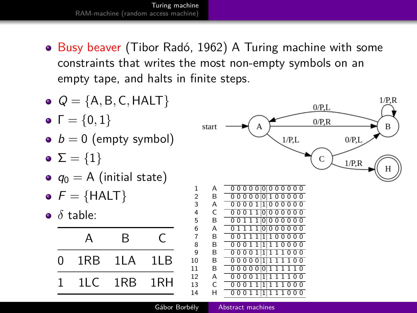[Turing machine](#page-2-0) [RAM-machine \(random access machine\)](#page-5-0)

• Busy beaver (Tibor Radó, 1962) A Turing machine with some constraints that writes the most non-empty symbols on an empty tape, and halts in finite steps.



Gábor Borbély [Abstract machines](#page-0-0)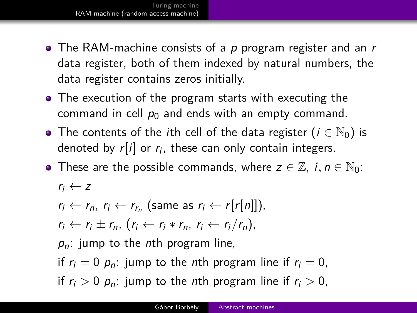- <span id="page-5-0"></span>• The RAM-machine consists of a  $p$  program register and an  $r$ data register, both of them indexed by natural numbers, the data register contains zeros initially.
- The execution of the program starts with executing the command in cell  $p_0$  and ends with an empty command.
- The contents of the *i*th cell of the data register ( $i \in \mathbb{N}_0$ ) is denoted by  $r[i]$  or  $r_i$ , these can only contain integers.
- These are the possible commands, where  $z \in \mathbb{Z}$ ,  $i, n \in \mathbb{N}_0$ :  $r_i \leftarrow z$

$$
r_i \leftarrow r_n, r_i \leftarrow r_{r_n} \text{ (same as } r_i \leftarrow r[r[n]]\text{)},
$$
\n
$$
r_i \leftarrow r_i \pm r_n, (r_i \leftarrow r_i * r_n, r_i \leftarrow r_i/r_n),
$$
\n
$$
p_n: \text{jump to the nth program line.}
$$

if  $r_i = 0$   $p_n$ : jump to the nth program line if  $r_i = 0$ , if  $r_i > 0$   $p_n$ : jump to the *n*th program line if  $r_i > 0$ ,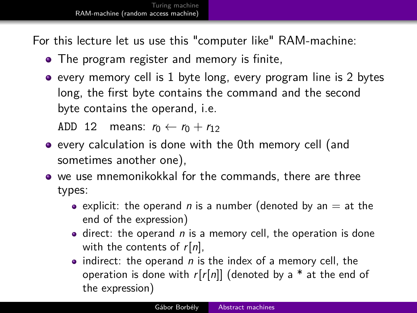For this lecture let us use this "computer like" RAM-machine:

- The program register and memory is finite,
- $\bullet$  every memory cell is 1 byte long, every program line is 2 bytes long, the first byte contains the command and the second byte contains the operand, i.e.

ADD 12 means:  $r_0 \leftarrow r_0 + r_{12}$ 

- every calculation is done with the 0th memory cell (and sometimes another one),
- we use mnemonikokkal for the commands, there are three types:
	- explicit: the operand n is a number (denoted by an  $=$  at the end of the expression)
	- $\bullet$  direct: the operand  $n$  is a memory cell, the operation is done with the contents of  $r[n]$ ,
	- indirect: the operand  $n$  is the index of a memory cell, the operation is done with  $r[r[n]]$  (denoted by a  $*$  at the end of the expression)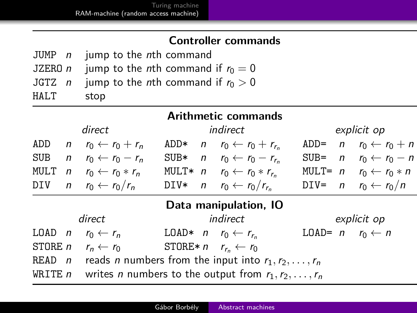#### **Controller commands**

|      | JUMP n jump to the nth command                              |
|------|-------------------------------------------------------------|
|      | JZERO <i>n</i> jump to the <i>n</i> th command if $r_0 = 0$ |
|      | JGTZ n jump to the nth command if $r_0 > 0$                 |
| HALT | stop                                                        |

| <b>Arithmetic commands</b> |                                                                    |                                                                    |        |          |                                                     |         |             |                                            |  |
|----------------------------|--------------------------------------------------------------------|--------------------------------------------------------------------|--------|----------|-----------------------------------------------------|---------|-------------|--------------------------------------------|--|
|                            | direct                                                             |                                                                    |        | indirect |                                                     |         | explicit op |                                            |  |
| ADD                        | $\mathsf{n}$                                                       | $r_0 \leftarrow r_0 + r_n$                                         | $ADD*$ |          | $r_0 \leftarrow r_0 + r_{r_0}$                      | $ADD=$  |             | $n \quad r_0 \leftarrow r_0 + n$           |  |
| <b>SUB</b>                 | $\mathsf{n}$                                                       | $r_0 \leftarrow r_0 - r_n$                                         | $SUB*$ |          | $r_0 \leftarrow r_0 - r_{r_0}$                      | $SUB =$ |             | $n \quad r_0 \leftarrow r_0 - n$           |  |
| MULT                       |                                                                    | $n \quad r_0 \leftarrow r_0 * r_n$                                 |        |          | MULT* $n$ $r_0 \leftarrow r_0 * r_{r_n}$            |         |             | MULT= $n$ $r_0 \leftarrow r_0 * n$         |  |
| DIV                        |                                                                    | $n \quad r_0 \leftarrow r_0/r_n$                                   |        |          | DIV* $n \quad r_0 \leftarrow r_0/r_{r_n}$           |         |             | DIV= $n$ $r_0 \leftarrow r_0/n$            |  |
| Data manipulation, IO      |                                                                    |                                                                    |        |          |                                                     |         |             |                                            |  |
|                            |                                                                    | direct                                                             |        |          | indirect                                            |         |             | explicit op                                |  |
| LOD n                      |                                                                    | $r_0 \leftarrow r_n$                                               |        |          | LOAD* $n \rightharpoondown r_0 \leftarrow r_{r_0}$  |         |             | LOAD= $n \rightharpoonup r_0 \leftarrow n$ |  |
| $STORE$ n                  |                                                                    | $r_n \leftarrow r_0$                                               |        |          | STORE* $n \rightharpoondown r_{r_0} \leftarrow r_0$ |         |             |                                            |  |
| $READ$ $n$                 |                                                                    | reads <i>n</i> numbers from the input into $r_1, r_2, \ldots, r_n$ |        |          |                                                     |         |             |                                            |  |
| WRITE $n$                  | writes <i>n</i> numbers to the output from $r_1, r_2, \ldots, r_n$ |                                                                    |        |          |                                                     |         |             |                                            |  |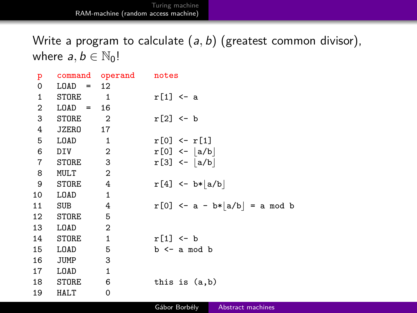Write a program to calculate (a*,* b) (greatest common divisor), where  $a, b \in \mathbb{N}_0!$ 

| p              |             | command operand notes      |                                 |
|----------------|-------------|----------------------------|---------------------------------|
| $\mathbf 0$    | LOAD        | $= 12$                     |                                 |
| $\mathbf{1}$   | STORE       | $\overline{\phantom{a}}$   | $r[1] < -a$                     |
| $\overline{2}$ | $LOAD = 16$ |                            |                                 |
| 3              | STORE       | $\overline{\phantom{a}}$ 2 | $r[2] < -b$                     |
| 4              | JZERO 17    |                            |                                 |
| 5              | LOAD        | $\overline{\phantom{1}}$   | $r[0]$ <- $r[1]$                |
| 6              | DIV         | $\overline{\phantom{a}}$ 2 | $r[0]$ <- $ a/b $               |
| $\overline{7}$ | STORE       | $\overline{\phantom{a}}$ 3 | $r[3]$ <- $ a/b $               |
| 8              | MULT        | $\overline{\phantom{0}}^2$ |                                 |
| 9              | STORE       | $\overline{4}$             | $r[4]$ <- b*   a/b              |
| 10             | LOAD        | 1                          |                                 |
| 11             | SUB         | 4                          | $r[0]$ <- a - b* a/b  = a mod b |
| 12             | STORE       | $-5$                       |                                 |
| 13             | LOAD        | $\overline{\phantom{0}}^2$ |                                 |
| 14             | STORE       | $\overline{\phantom{a}}$   | $r[1] \leftarrow b$             |
| 15             | LOAD        | 5                          | $b \leq -a$ mod $b$             |
| 16             | JUMP        | 3                          |                                 |
| 17             | LOAD        | $\mathbf{1}$               |                                 |
| 18             | STORE       | 6                          | this is $(a,b)$                 |
| 19             | HALT        | 0                          |                                 |
|                |             |                            |                                 |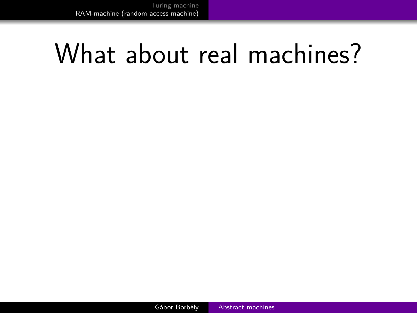# What about real machines?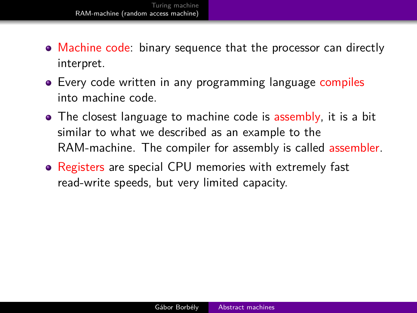- Machine code: binary sequence that the processor can directly interpret.
- Every code written in any programming language compiles into machine code.
- The closest language to machine code is assembly, it is a bit similar to what we described as an example to the RAM-machine. The compiler for assembly is called assembler.
- Registers are special CPU memories with extremely fast read-write speeds, but very limited capacity.